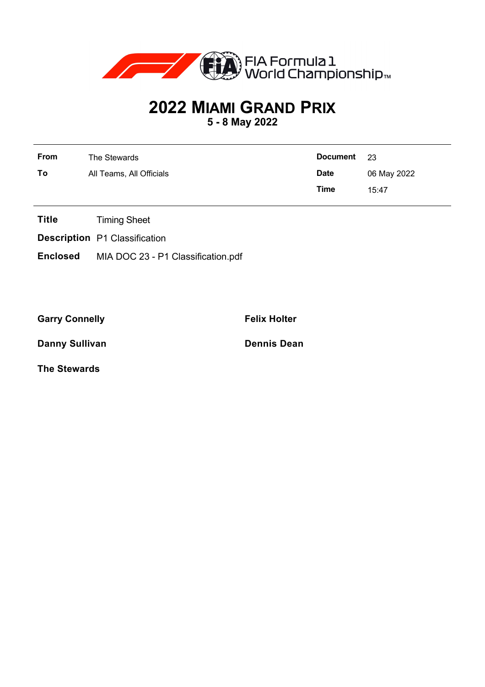

## **2022 MIAMI GRAND PRIX**

**5 - 8 May 2022**

| From | The Stewards             | <b>Document</b> | - 23        |
|------|--------------------------|-----------------|-------------|
| To   | All Teams, All Officials | <b>Date</b>     | 06 May 2022 |
|      |                          | <b>Time</b>     | 15:47       |

- **Title** Timing Sheet
- **Description** P1 Classification
- **Enclosed** MIA DOC 23 P1 Classification.pdf

Garry Connelly **Felix Holter** 

**Danny Sullivan Dennis Dean** 

**The Stewards**